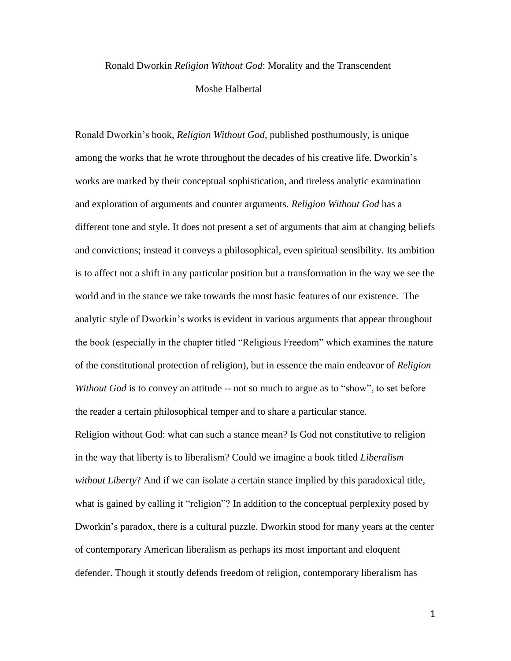## Ronald Dworkin *Religion Without God*: Morality and the Transcendent

## Moshe Halbertal

Ronald Dworkin's book, *Religion Without God*, published posthumously, is unique among the works that he wrote throughout the decades of his creative life. Dworkin's works are marked by their conceptual sophistication, and tireless analytic examination and exploration of arguments and counter arguments*. Religion Without God* has a different tone and style. It does not present a set of arguments that aim at changing beliefs and convictions; instead it conveys a philosophical, even spiritual sensibility. Its ambition is to affect not a shift in any particular position but a transformation in the way we see the world and in the stance we take towards the most basic features of our existence. The analytic style of Dworkin's works is evident in various arguments that appear throughout the book (especially in the chapter titled "Religious Freedom" which examines the nature of the constitutional protection of religion), but in essence the main endeavor of *Religion Without God* is to convey an attitude -- not so much to argue as to "show", to set before the reader a certain philosophical temper and to share a particular stance.

Religion without God: what can such a stance mean? Is God not constitutive to religion in the way that liberty is to liberalism? Could we imagine a book titled *Liberalism without Liberty*? And if we can isolate a certain stance implied by this paradoxical title, what is gained by calling it "religion"? In addition to the conceptual perplexity posed by Dworkin's paradox, there is a cultural puzzle. Dworkin stood for many years at the center of contemporary American liberalism as perhaps its most important and eloquent defender. Though it stoutly defends freedom of religion, contemporary liberalism has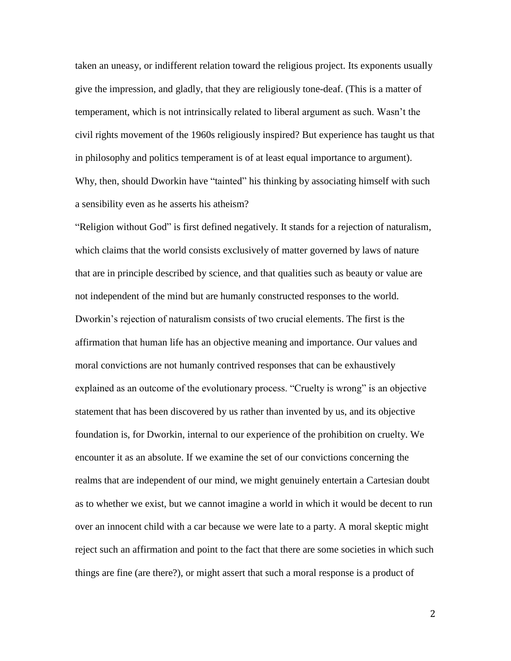taken an uneasy, or indifferent relation toward the religious project. Its exponents usually give the impression, and gladly, that they are religiously tone-deaf. (This is a matter of temperament, which is not intrinsically related to liberal argument as such. Wasn't the civil rights movement of the 1960s religiously inspired? But experience has taught us that in philosophy and politics temperament is of at least equal importance to argument). Why, then, should Dworkin have "tainted" his thinking by associating himself with such a sensibility even as he asserts his atheism?

"Religion without God" is first defined negatively. It stands for a rejection of naturalism, which claims that the world consists exclusively of matter governed by laws of nature that are in principle described by science, and that qualities such as beauty or value are not independent of the mind but are humanly constructed responses to the world. Dworkin's rejection of naturalism consists of two crucial elements. The first is the affirmation that human life has an objective meaning and importance. Our values and moral convictions are not humanly contrived responses that can be exhaustively explained as an outcome of the evolutionary process. "Cruelty is wrong" is an objective statement that has been discovered by us rather than invented by us, and its objective foundation is, for Dworkin, internal to our experience of the prohibition on cruelty. We encounter it as an absolute. If we examine the set of our convictions concerning the realms that are independent of our mind, we might genuinely entertain a Cartesian doubt as to whether we exist, but we cannot imagine a world in which it would be decent to run over an innocent child with a car because we were late to a party. A moral skeptic might reject such an affirmation and point to the fact that there are some societies in which such things are fine (are there?), or might assert that such a moral response is a product of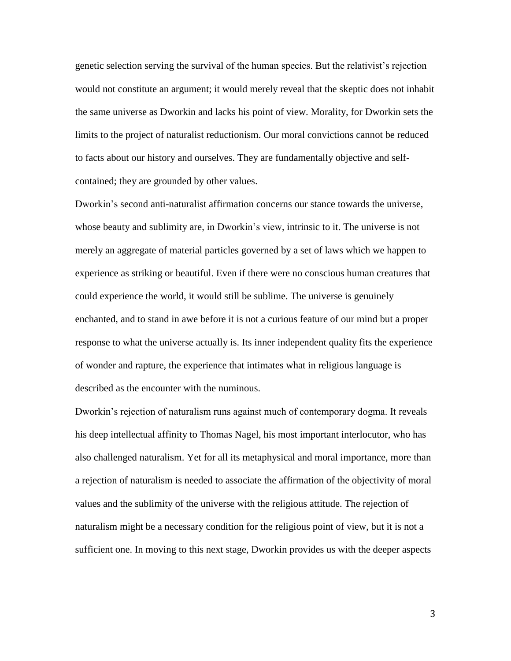genetic selection serving the survival of the human species. But the relativist's rejection would not constitute an argument; it would merely reveal that the skeptic does not inhabit the same universe as Dworkin and lacks his point of view. Morality, for Dworkin sets the limits to the project of naturalist reductionism. Our moral convictions cannot be reduced to facts about our history and ourselves. They are fundamentally objective and selfcontained; they are grounded by other values.

Dworkin's second anti-naturalist affirmation concerns our stance towards the universe, whose beauty and sublimity are, in Dworkin's view, intrinsic to it. The universe is not merely an aggregate of material particles governed by a set of laws which we happen to experience as striking or beautiful. Even if there were no conscious human creatures that could experience the world, it would still be sublime. The universe is genuinely enchanted, and to stand in awe before it is not a curious feature of our mind but a proper response to what the universe actually is. Its inner independent quality fits the experience of wonder and rapture, the experience that intimates what in religious language is described as the encounter with the numinous.

Dworkin's rejection of naturalism runs against much of contemporary dogma. It reveals his deep intellectual affinity to Thomas Nagel, his most important interlocutor, who has also challenged naturalism. Yet for all its metaphysical and moral importance, more than a rejection of naturalism is needed to associate the affirmation of the objectivity of moral values and the sublimity of the universe with the religious attitude. The rejection of naturalism might be a necessary condition for the religious point of view, but it is not a sufficient one. In moving to this next stage, Dworkin provides us with the deeper aspects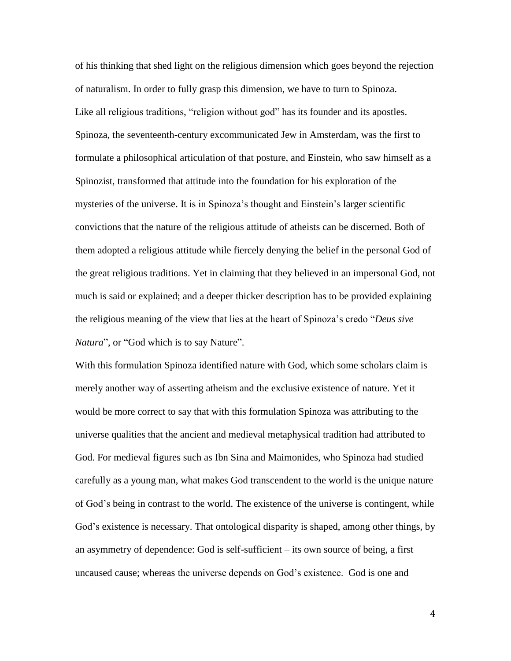of his thinking that shed light on the religious dimension which goes beyond the rejection of naturalism. In order to fully grasp this dimension, we have to turn to Spinoza. Like all religious traditions, "religion without god" has its founder and its apostles. Spinoza, the seventeenth-century excommunicated Jew in Amsterdam, was the first to formulate a philosophical articulation of that posture, and Einstein, who saw himself as a Spinozist, transformed that attitude into the foundation for his exploration of the mysteries of the universe. It is in Spinoza's thought and Einstein's larger scientific convictions that the nature of the religious attitude of atheists can be discerned. Both of them adopted a religious attitude while fiercely denying the belief in the personal God of the great religious traditions. Yet in claiming that they believed in an impersonal God, not much is said or explained; and a deeper thicker description has to be provided explaining the religious meaning of the view that lies at the heart of Spinoza's credo "*Deus sive Natura*", or "God which is to say Nature".

With this formulation Spinoza identified nature with God, which some scholars claim is merely another way of asserting atheism and the exclusive existence of nature. Yet it would be more correct to say that with this formulation Spinoza was attributing to the universe qualities that the ancient and medieval metaphysical tradition had attributed to God. For medieval figures such as Ibn Sina and Maimonides, who Spinoza had studied carefully as a young man, what makes God transcendent to the world is the unique nature of God's being in contrast to the world. The existence of the universe is contingent, while God's existence is necessary. That ontological disparity is shaped, among other things, by an asymmetry of dependence: God is self-sufficient – its own source of being, a first uncaused cause; whereas the universe depends on God's existence. God is one and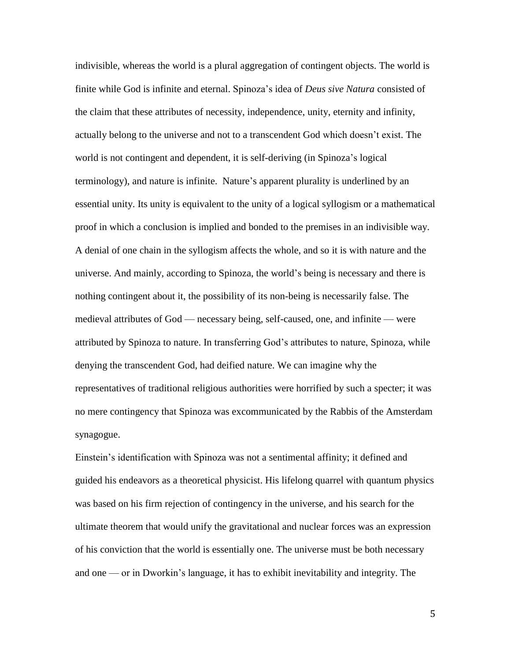indivisible, whereas the world is a plural aggregation of contingent objects. The world is finite while God is infinite and eternal. Spinoza's idea of *Deus sive Natura* consisted of the claim that these attributes of necessity, independence, unity, eternity and infinity, actually belong to the universe and not to a transcendent God which doesn't exist. The world is not contingent and dependent, it is self-deriving (in Spinoza's logical terminology), and nature is infinite. Nature's apparent plurality is underlined by an essential unity. Its unity is equivalent to the unity of a logical syllogism or a mathematical proof in which a conclusion is implied and bonded to the premises in an indivisible way. A denial of one chain in the syllogism affects the whole, and so it is with nature and the universe. And mainly, according to Spinoza, the world's being is necessary and there is nothing contingent about it, the possibility of its non-being is necessarily false. The medieval attributes of God — necessary being, self-caused, one, and infinite — were attributed by Spinoza to nature. In transferring God's attributes to nature, Spinoza, while denying the transcendent God, had deified nature. We can imagine why the representatives of traditional religious authorities were horrified by such a specter; it was no mere contingency that Spinoza was excommunicated by the Rabbis of the Amsterdam synagogue.

Einstein's identification with Spinoza was not a sentimental affinity; it defined and guided his endeavors as a theoretical physicist. His lifelong quarrel with quantum physics was based on his firm rejection of contingency in the universe, and his search for the ultimate theorem that would unify the gravitational and nuclear forces was an expression of his conviction that the world is essentially one. The universe must be both necessary and one — or in Dworkin's language, it has to exhibit inevitability and integrity. The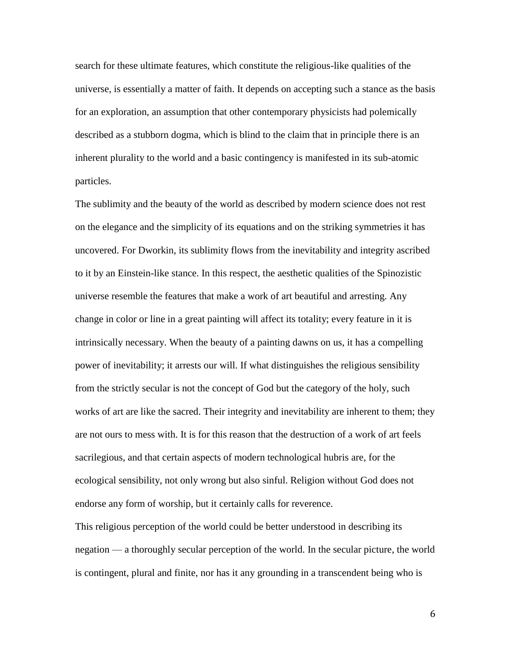search for these ultimate features, which constitute the religious-like qualities of the universe, is essentially a matter of faith. It depends on accepting such a stance as the basis for an exploration, an assumption that other contemporary physicists had polemically described as a stubborn dogma, which is blind to the claim that in principle there is an inherent plurality to the world and a basic contingency is manifested in its sub-atomic particles.

The sublimity and the beauty of the world as described by modern science does not rest on the elegance and the simplicity of its equations and on the striking symmetries it has uncovered. For Dworkin, its sublimity flows from the inevitability and integrity ascribed to it by an Einstein-like stance. In this respect, the aesthetic qualities of the Spinozistic universe resemble the features that make a work of art beautiful and arresting. Any change in color or line in a great painting will affect its totality; every feature in it is intrinsically necessary. When the beauty of a painting dawns on us, it has a compelling power of inevitability; it arrests our will. If what distinguishes the religious sensibility from the strictly secular is not the concept of God but the category of the holy, such works of art are like the sacred. Their integrity and inevitability are inherent to them; they are not ours to mess with. It is for this reason that the destruction of a work of art feels sacrilegious, and that certain aspects of modern technological hubris are, for the ecological sensibility, not only wrong but also sinful. Religion without God does not endorse any form of worship, but it certainly calls for reverence.

This religious perception of the world could be better understood in describing its negation — a thoroughly secular perception of the world. In the secular picture, the world is contingent, plural and finite, nor has it any grounding in a transcendent being who is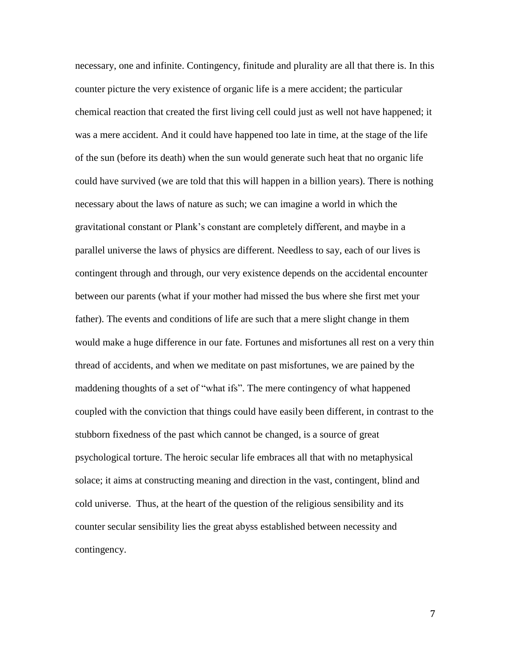necessary, one and infinite. Contingency, finitude and plurality are all that there is. In this counter picture the very existence of organic life is a mere accident; the particular chemical reaction that created the first living cell could just as well not have happened; it was a mere accident. And it could have happened too late in time, at the stage of the life of the sun (before its death) when the sun would generate such heat that no organic life could have survived (we are told that this will happen in a billion years). There is nothing necessary about the laws of nature as such; we can imagine a world in which the gravitational constant or Plank's constant are completely different, and maybe in a parallel universe the laws of physics are different. Needless to say, each of our lives is contingent through and through, our very existence depends on the accidental encounter between our parents (what if your mother had missed the bus where she first met your father). The events and conditions of life are such that a mere slight change in them would make a huge difference in our fate. Fortunes and misfortunes all rest on a very thin thread of accidents, and when we meditate on past misfortunes, we are pained by the maddening thoughts of a set of "what ifs". The mere contingency of what happened coupled with the conviction that things could have easily been different, in contrast to the stubborn fixedness of the past which cannot be changed, is a source of great psychological torture. The heroic secular life embraces all that with no metaphysical solace; it aims at constructing meaning and direction in the vast, contingent, blind and cold universe. Thus, at the heart of the question of the religious sensibility and its counter secular sensibility lies the great abyss established between necessity and contingency.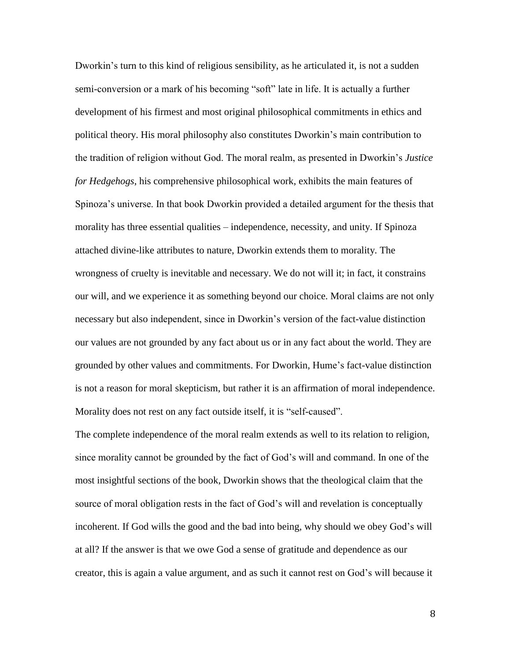Dworkin's turn to this kind of religious sensibility, as he articulated it, is not a sudden semi-conversion or a mark of his becoming "soft" late in life. It is actually a further development of his firmest and most original philosophical commitments in ethics and political theory. His moral philosophy also constitutes Dworkin's main contribution to the tradition of religion without God. The moral realm, as presented in Dworkin's *Justice for Hedgehogs*, his comprehensive philosophical work, exhibits the main features of Spinoza's universe. In that book Dworkin provided a detailed argument for the thesis that morality has three essential qualities – independence, necessity, and unity. If Spinoza attached divine-like attributes to nature, Dworkin extends them to morality. The wrongness of cruelty is inevitable and necessary. We do not will it; in fact, it constrains our will, and we experience it as something beyond our choice. Moral claims are not only necessary but also independent, since in Dworkin's version of the fact-value distinction our values are not grounded by any fact about us or in any fact about the world. They are grounded by other values and commitments. For Dworkin, Hume's fact-value distinction is not a reason for moral skepticism, but rather it is an affirmation of moral independence. Morality does not rest on any fact outside itself, it is "self-caused".

The complete independence of the moral realm extends as well to its relation to religion, since morality cannot be grounded by the fact of God's will and command. In one of the most insightful sections of the book, Dworkin shows that the theological claim that the source of moral obligation rests in the fact of God's will and revelation is conceptually incoherent. If God wills the good and the bad into being, why should we obey God's will at all? If the answer is that we owe God a sense of gratitude and dependence as our creator, this is again a value argument, and as such it cannot rest on God's will because it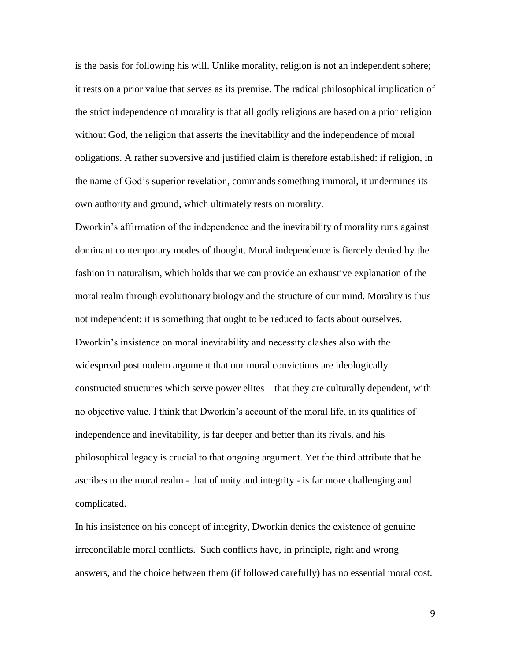is the basis for following his will. Unlike morality, religion is not an independent sphere; it rests on a prior value that serves as its premise. The radical philosophical implication of the strict independence of morality is that all godly religions are based on a prior religion without God, the religion that asserts the inevitability and the independence of moral obligations. A rather subversive and justified claim is therefore established: if religion, in the name of God's superior revelation, commands something immoral, it undermines its own authority and ground, which ultimately rests on morality.

Dworkin's affirmation of the independence and the inevitability of morality runs against dominant contemporary modes of thought. Moral independence is fiercely denied by the fashion in naturalism, which holds that we can provide an exhaustive explanation of the moral realm through evolutionary biology and the structure of our mind. Morality is thus not independent; it is something that ought to be reduced to facts about ourselves. Dworkin's insistence on moral inevitability and necessity clashes also with the widespread postmodern argument that our moral convictions are ideologically constructed structures which serve power elites – that they are culturally dependent, with no objective value. I think that Dworkin's account of the moral life, in its qualities of independence and inevitability, is far deeper and better than its rivals, and his philosophical legacy is crucial to that ongoing argument. Yet the third attribute that he ascribes to the moral realm - that of unity and integrity - is far more challenging and complicated.

In his insistence on his concept of integrity, Dworkin denies the existence of genuine irreconcilable moral conflicts. Such conflicts have, in principle, right and wrong answers, and the choice between them (if followed carefully) has no essential moral cost.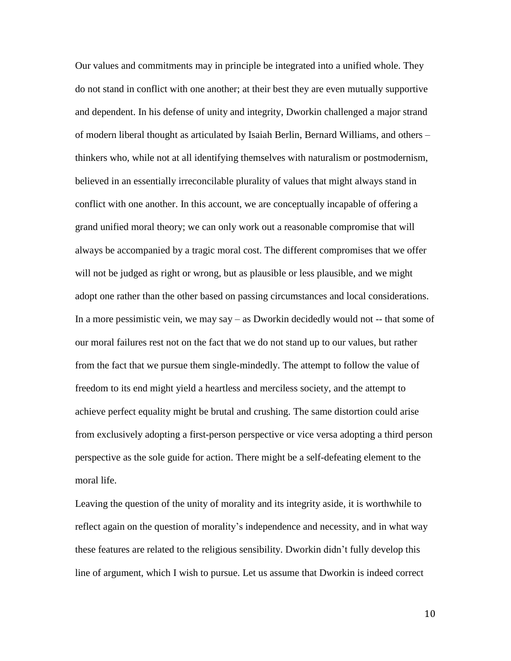Our values and commitments may in principle be integrated into a unified whole. They do not stand in conflict with one another; at their best they are even mutually supportive and dependent. In his defense of unity and integrity, Dworkin challenged a major strand of modern liberal thought as articulated by Isaiah Berlin, Bernard Williams, and others – thinkers who, while not at all identifying themselves with naturalism or postmodernism, believed in an essentially irreconcilable plurality of values that might always stand in conflict with one another. In this account, we are conceptually incapable of offering a grand unified moral theory; we can only work out a reasonable compromise that will always be accompanied by a tragic moral cost. The different compromises that we offer will not be judged as right or wrong, but as plausible or less plausible, and we might adopt one rather than the other based on passing circumstances and local considerations. In a more pessimistic vein, we may say – as Dworkin decidedly would not -- that some of our moral failures rest not on the fact that we do not stand up to our values, but rather from the fact that we pursue them single-mindedly. The attempt to follow the value of freedom to its end might yield a heartless and merciless society, and the attempt to achieve perfect equality might be brutal and crushing. The same distortion could arise from exclusively adopting a first-person perspective or vice versa adopting a third person perspective as the sole guide for action. There might be a self-defeating element to the moral life.

Leaving the question of the unity of morality and its integrity aside, it is worthwhile to reflect again on the question of morality's independence and necessity, and in what way these features are related to the religious sensibility. Dworkin didn't fully develop this line of argument, which I wish to pursue. Let us assume that Dworkin is indeed correct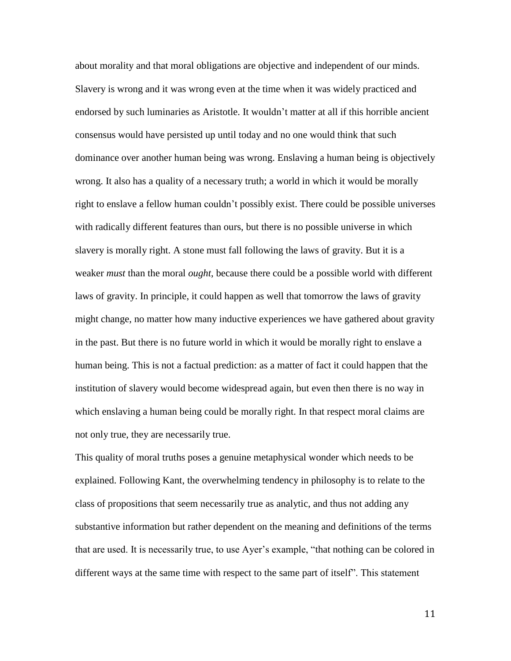about morality and that moral obligations are objective and independent of our minds. Slavery is wrong and it was wrong even at the time when it was widely practiced and endorsed by such luminaries as Aristotle. It wouldn't matter at all if this horrible ancient consensus would have persisted up until today and no one would think that such dominance over another human being was wrong. Enslaving a human being is objectively wrong. It also has a quality of a necessary truth; a world in which it would be morally right to enslave a fellow human couldn't possibly exist. There could be possible universes with radically different features than ours, but there is no possible universe in which slavery is morally right. A stone must fall following the laws of gravity. But it is a weaker *must* than the moral *ought*, because there could be a possible world with different laws of gravity. In principle, it could happen as well that tomorrow the laws of gravity might change, no matter how many inductive experiences we have gathered about gravity in the past. But there is no future world in which it would be morally right to enslave a human being. This is not a factual prediction: as a matter of fact it could happen that the institution of slavery would become widespread again, but even then there is no way in which enslaving a human being could be morally right. In that respect moral claims are not only true, they are necessarily true.

This quality of moral truths poses a genuine metaphysical wonder which needs to be explained. Following Kant, the overwhelming tendency in philosophy is to relate to the class of propositions that seem necessarily true as analytic, and thus not adding any substantive information but rather dependent on the meaning and definitions of the terms that are used. It is necessarily true, to use Ayer's example, "that nothing can be colored in different ways at the same time with respect to the same part of itself". This statement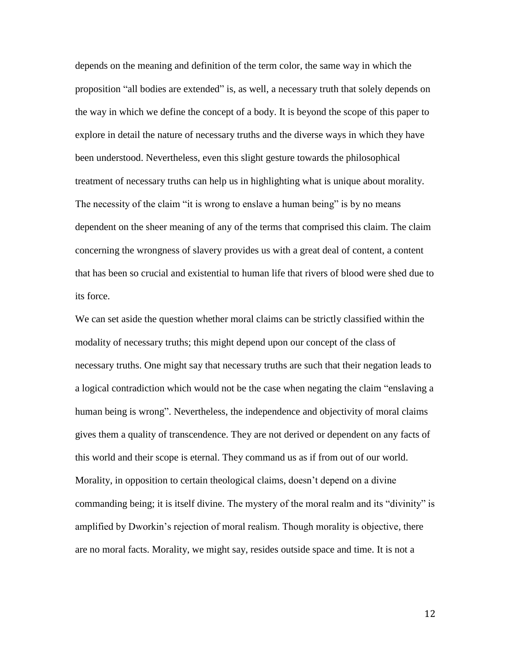depends on the meaning and definition of the term color, the same way in which the proposition "all bodies are extended" is, as well, a necessary truth that solely depends on the way in which we define the concept of a body. It is beyond the scope of this paper to explore in detail the nature of necessary truths and the diverse ways in which they have been understood. Nevertheless, even this slight gesture towards the philosophical treatment of necessary truths can help us in highlighting what is unique about morality. The necessity of the claim "it is wrong to enslave a human being" is by no means dependent on the sheer meaning of any of the terms that comprised this claim. The claim concerning the wrongness of slavery provides us with a great deal of content, a content that has been so crucial and existential to human life that rivers of blood were shed due to its force.

We can set aside the question whether moral claims can be strictly classified within the modality of necessary truths; this might depend upon our concept of the class of necessary truths. One might say that necessary truths are such that their negation leads to a logical contradiction which would not be the case when negating the claim "enslaving a human being is wrong". Nevertheless, the independence and objectivity of moral claims gives them a quality of transcendence. They are not derived or dependent on any facts of this world and their scope is eternal. They command us as if from out of our world. Morality, in opposition to certain theological claims, doesn't depend on a divine commanding being; it is itself divine. The mystery of the moral realm and its "divinity" is amplified by Dworkin's rejection of moral realism. Though morality is objective, there are no moral facts. Morality, we might say, resides outside space and time. It is not a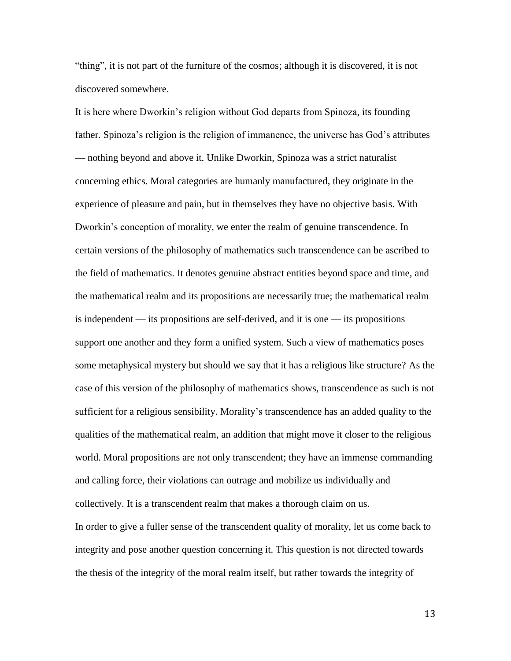"thing", it is not part of the furniture of the cosmos; although it is discovered, it is not discovered somewhere.

It is here where Dworkin's religion without God departs from Spinoza, its founding father. Spinoza's religion is the religion of immanence, the universe has God's attributes — nothing beyond and above it. Unlike Dworkin, Spinoza was a strict naturalist concerning ethics. Moral categories are humanly manufactured, they originate in the experience of pleasure and pain, but in themselves they have no objective basis. With Dworkin's conception of morality, we enter the realm of genuine transcendence. In certain versions of the philosophy of mathematics such transcendence can be ascribed to the field of mathematics. It denotes genuine abstract entities beyond space and time, and the mathematical realm and its propositions are necessarily true; the mathematical realm is independent — its propositions are self-derived, and it is one — its propositions support one another and they form a unified system. Such a view of mathematics poses some metaphysical mystery but should we say that it has a religious like structure? As the case of this version of the philosophy of mathematics shows, transcendence as such is not sufficient for a religious sensibility. Morality's transcendence has an added quality to the qualities of the mathematical realm, an addition that might move it closer to the religious world. Moral propositions are not only transcendent; they have an immense commanding and calling force, their violations can outrage and mobilize us individually and collectively. It is a transcendent realm that makes a thorough claim on us.

In order to give a fuller sense of the transcendent quality of morality, let us come back to integrity and pose another question concerning it. This question is not directed towards the thesis of the integrity of the moral realm itself, but rather towards the integrity of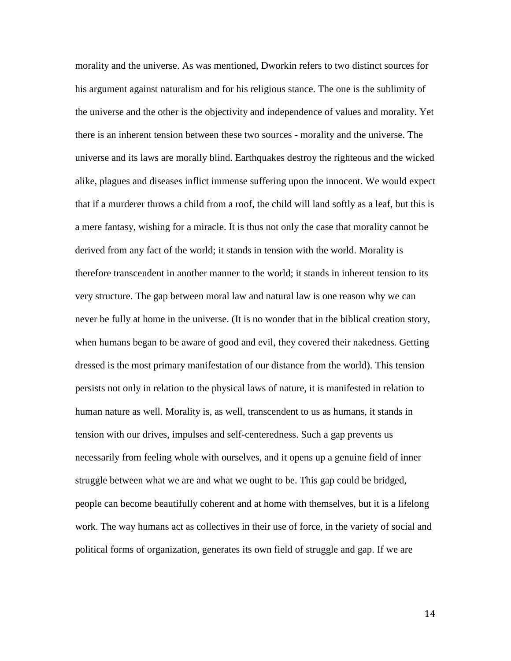morality and the universe. As was mentioned, Dworkin refers to two distinct sources for his argument against naturalism and for his religious stance. The one is the sublimity of the universe and the other is the objectivity and independence of values and morality. Yet there is an inherent tension between these two sources - morality and the universe. The universe and its laws are morally blind. Earthquakes destroy the righteous and the wicked alike, plagues and diseases inflict immense suffering upon the innocent. We would expect that if a murderer throws a child from a roof, the child will land softly as a leaf, but this is a mere fantasy, wishing for a miracle. It is thus not only the case that morality cannot be derived from any fact of the world; it stands in tension with the world. Morality is therefore transcendent in another manner to the world; it stands in inherent tension to its very structure. The gap between moral law and natural law is one reason why we can never be fully at home in the universe. (It is no wonder that in the biblical creation story, when humans began to be aware of good and evil, they covered their nakedness. Getting dressed is the most primary manifestation of our distance from the world). This tension persists not only in relation to the physical laws of nature, it is manifested in relation to human nature as well. Morality is, as well, transcendent to us as humans, it stands in tension with our drives, impulses and self-centeredness. Such a gap prevents us necessarily from feeling whole with ourselves, and it opens up a genuine field of inner struggle between what we are and what we ought to be. This gap could be bridged, people can become beautifully coherent and at home with themselves, but it is a lifelong work. The way humans act as collectives in their use of force, in the variety of social and political forms of organization, generates its own field of struggle and gap. If we are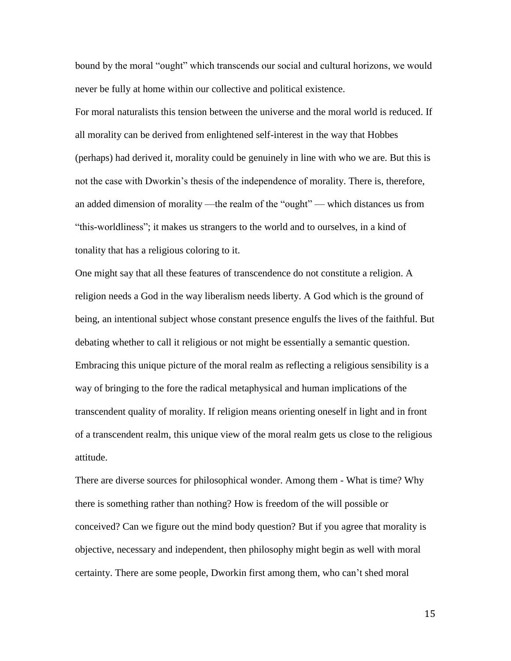bound by the moral "ought" which transcends our social and cultural horizons, we would never be fully at home within our collective and political existence.

For moral naturalists this tension between the universe and the moral world is reduced. If all morality can be derived from enlightened self-interest in the way that Hobbes (perhaps) had derived it, morality could be genuinely in line with who we are. But this is not the case with Dworkin's thesis of the independence of morality. There is, therefore, an added dimension of morality —the realm of the "ought" — which distances us from "this-worldliness"; it makes us strangers to the world and to ourselves, in a kind of tonality that has a religious coloring to it.

One might say that all these features of transcendence do not constitute a religion. A religion needs a God in the way liberalism needs liberty. A God which is the ground of being, an intentional subject whose constant presence engulfs the lives of the faithful. But debating whether to call it religious or not might be essentially a semantic question. Embracing this unique picture of the moral realm as reflecting a religious sensibility is a way of bringing to the fore the radical metaphysical and human implications of the transcendent quality of morality. If religion means orienting oneself in light and in front of a transcendent realm, this unique view of the moral realm gets us close to the religious attitude.

There are diverse sources for philosophical wonder. Among them - What is time? Why there is something rather than nothing? How is freedom of the will possible or conceived? Can we figure out the mind body question? But if you agree that morality is objective, necessary and independent, then philosophy might begin as well with moral certainty. There are some people, Dworkin first among them, who can't shed moral